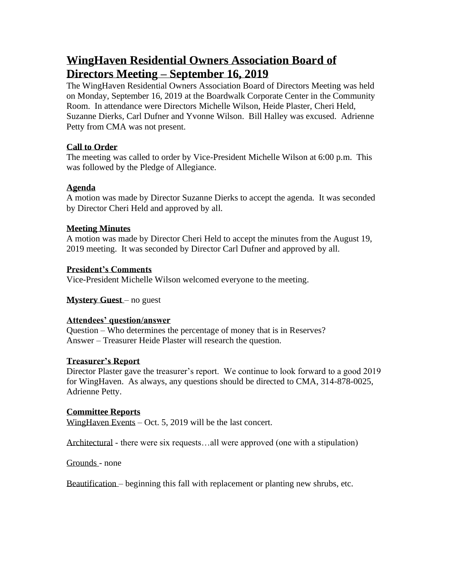# **WingHaven Residential Owners Association Board of Directors Meeting – September 16, 2019**

The WingHaven Residential Owners Association Board of Directors Meeting was held on Monday, September 16, 2019 at the Boardwalk Corporate Center in the Community Room. In attendance were Directors Michelle Wilson, Heide Plaster, Cheri Held, Suzanne Dierks, Carl Dufner and Yvonne Wilson. Bill Halley was excused. Adrienne Petty from CMA was not present.

## **Call to Order**

The meeting was called to order by Vice-President Michelle Wilson at 6:00 p.m. This was followed by the Pledge of Allegiance.

## **Agenda**

A motion was made by Director Suzanne Dierks to accept the agenda. It was seconded by Director Cheri Held and approved by all.

## **Meeting Minutes**

A motion was made by Director Cheri Held to accept the minutes from the August 19, 2019 meeting. It was seconded by Director Carl Dufner and approved by all.

## **President's Comments**

Vice-President Michelle Wilson welcomed everyone to the meeting.

# **Mystery Guest** – no guest

## **Attendees' question/answer**

Question – Who determines the percentage of money that is in Reserves? Answer – Treasurer Heide Plaster will research the question.

## **Treasurer's Report**

Director Plaster gave the treasurer's report. We continue to look forward to a good 2019 for WingHaven. As always, any questions should be directed to CMA, 314-878-0025, Adrienne Petty.

# **Committee Reports**

WingHaven Events – Oct. 5, 2019 will be the last concert.

Architectural - there were six requests…all were approved (one with a stipulation)

Grounds - none

Beautification – beginning this fall with replacement or planting new shrubs, etc.